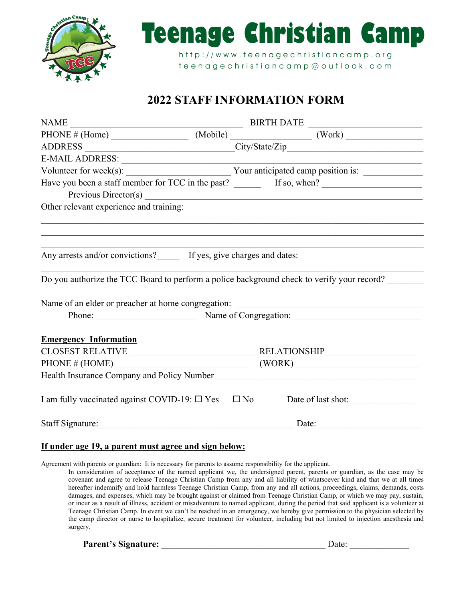



http://www.teenagechristiancamp.org t e e n a g e c h r i s t i a n c a m p @ o u t l o o k . c o m

# **2022 STAFF INFORMATION FORM**

| PHONE # (Home) $\qquad (Mobile)$ $(Work)$                                                  |                                                    |                                                             |  |  |
|--------------------------------------------------------------------------------------------|----------------------------------------------------|-------------------------------------------------------------|--|--|
|                                                                                            |                                                    |                                                             |  |  |
|                                                                                            |                                                    | the control of the control of the control of the control of |  |  |
|                                                                                            |                                                    |                                                             |  |  |
|                                                                                            |                                                    |                                                             |  |  |
|                                                                                            |                                                    |                                                             |  |  |
| Other relevant experience and training:                                                    |                                                    |                                                             |  |  |
|                                                                                            |                                                    |                                                             |  |  |
|                                                                                            |                                                    |                                                             |  |  |
| Any arrests and/or convictions? If yes, give charges and dates:                            |                                                    |                                                             |  |  |
| Do you authorize the TCC Board to perform a police background check to verify your record? |                                                    |                                                             |  |  |
| Name of an elder or preacher at home congregation:                                         |                                                    |                                                             |  |  |
|                                                                                            | Phone: Name of Congregation: Name of Congregation: |                                                             |  |  |
|                                                                                            |                                                    |                                                             |  |  |
| <b>Emergency Information</b>                                                               |                                                    |                                                             |  |  |
|                                                                                            |                                                    |                                                             |  |  |
| PHONE # (HOME)                                                                             | (WORK)                                             |                                                             |  |  |
|                                                                                            |                                                    |                                                             |  |  |
| I am fully vaccinated against COVID-19: □ Yes □ No Date of last shot: __________           |                                                    |                                                             |  |  |
| Staff Signature:                                                                           |                                                    | Date:                                                       |  |  |
|                                                                                            |                                                    |                                                             |  |  |

#### **If under age 19, a parent must agree and sign below:**

Agreement with parents or guardian: It is necessary for parents to assume responsibility for the applicant.

In consideration of acceptance of the named applicant we, the undersigned parent, parents or guardian, as the case may be covenant and agree to release Teenage Christian Camp from any and all liability of whatsoever kind and that we at all times hereafter indemnify and hold harmless Teenage Christian Camp, from any and all actions, proceedings, claims, demands, costs damages, and expenses, which may be brought against or claimed from Teenage Christian Camp, or which we may pay, sustain, or incur as a result of illness, accident or misadventure to named applicant, during the period that said applicant is a volunteer at Teenage Christian Camp. In event we can't be reached in an emergency, we hereby give permission to the physician selected by the camp director or nurse to hospitalize, secure treatment for volunteer, including but not limited to injection anesthesia and surgery.

**Parent's Signature:** \_\_\_\_\_\_\_\_\_\_\_\_\_\_\_\_\_\_\_\_\_\_\_\_\_\_\_\_\_\_\_\_\_\_\_\_ Date: \_\_\_\_\_\_\_\_\_\_\_\_\_